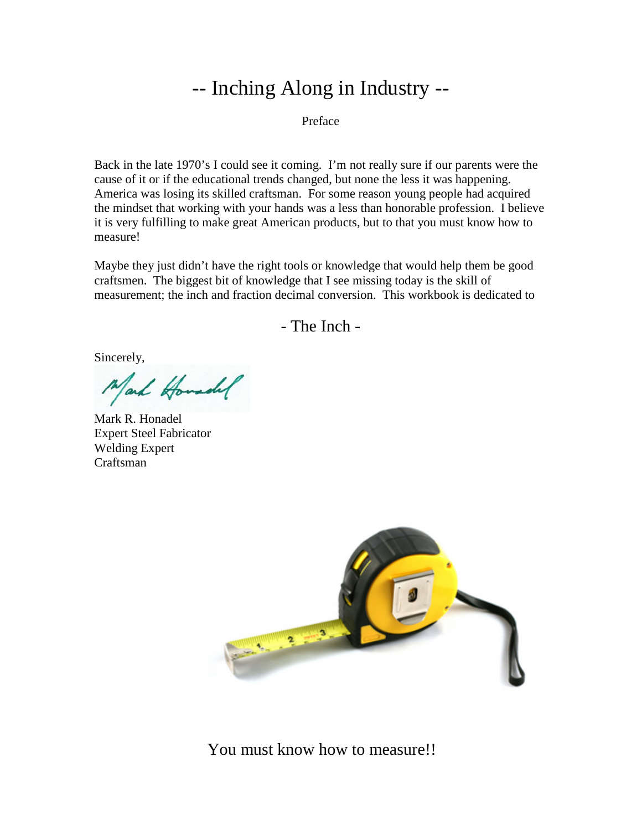## -- Inching Along in Industry --

Preface

Back in the late 1970's I could see it coming. I'm not really sure if our parents were the cause of it or if the educational trends changed, but none the less it was happening. America was losing its skilled craftsman. For some reason young people had acquired the mindset that working with your hands was a less than honorable profession. I believe it is very fulfilling to make great American products, but to that you must know how to measure!

Maybe they just didn't have the right tools or knowledge that would help them be good craftsmen. The biggest bit of knowledge that I see missing today is the skill of measurement; the inch and fraction decimal conversion. This workbook is dedicated to

- The Inch -

Sincerely,

Mark Howardel

Mark R. Honadel Expert Steel Fabricator Welding Expert Craftsman



You must know how to measure!!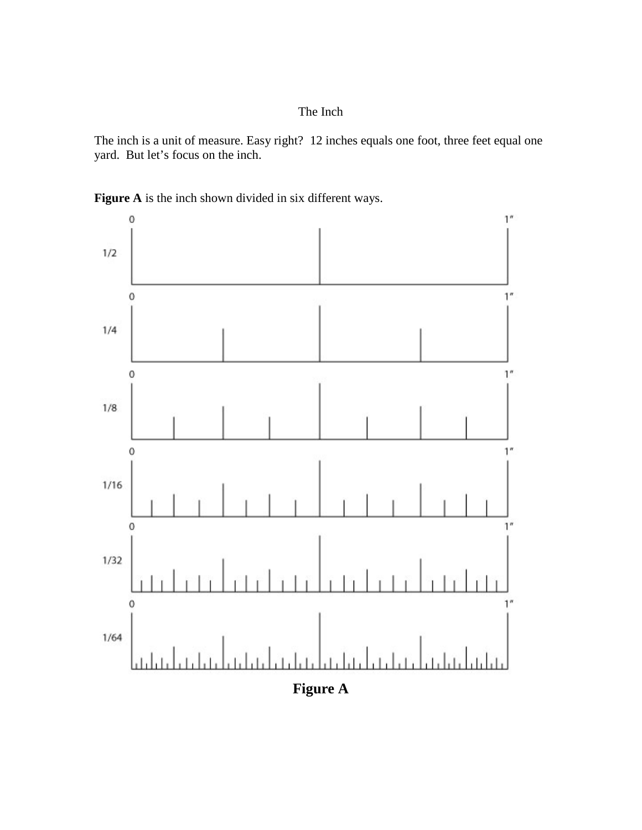## The Inch

The inch is a unit of measure. Easy right? 12 inches equals one foot, three feet equal one yard. But let's focus on the inch.



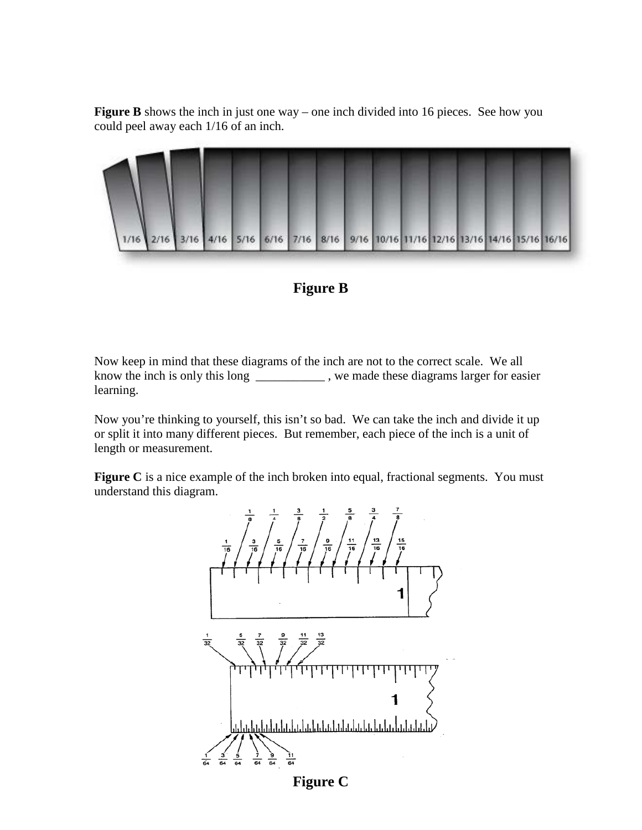**Figure B** shows the inch in just one way – one inch divided into 16 pieces. See how you could peel away each 1/16 of an inch.



## **Figure B**

Now keep in mind that these diagrams of the inch are not to the correct scale. We all know the inch is only this long \_\_\_\_\_\_\_\_\_\_\_ , we made these diagrams larger for easier learning.

Now you're thinking to yourself, this isn't so bad. We can take the inch and divide it up or split it into many different pieces. But remember, each piece of the inch is a unit of length or measurement.

**Figure C** is a nice example of the inch broken into equal, fractional segments. You must understand this diagram.



**Figure C**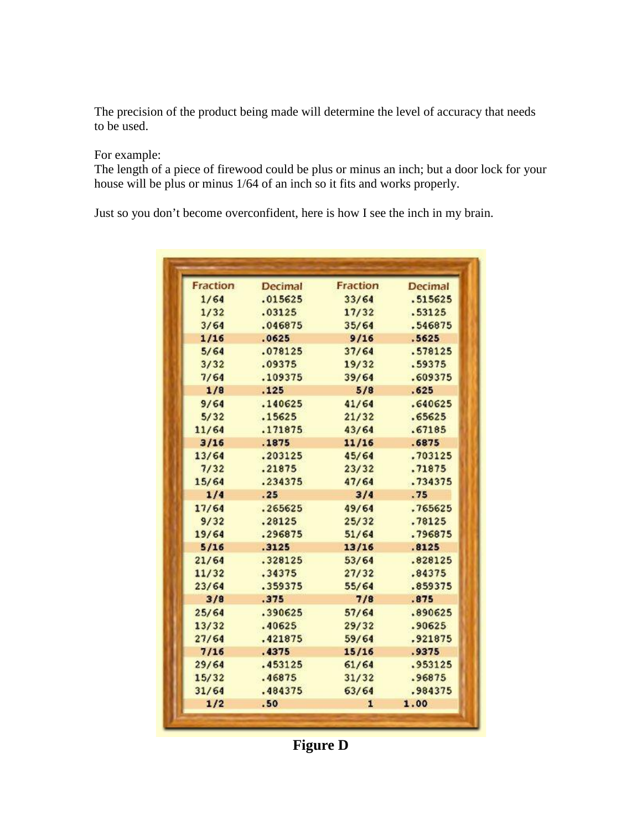The precision of the product being made will determine the level of accuracy that needs to be used.

For example:

The length of a piece of firewood could be plus or minus an inch; but a door lock for your house will be plus or minus 1/64 of an inch so it fits and works properly.

Just so you don't become overconfident, here is how I see the inch in my brain.

| <b>Fraction</b> | <b>Decimal</b> | <b>Fraction</b> | <b>Decimal</b> |
|-----------------|----------------|-----------------|----------------|
| 1/64            | .015625        | 33/64           | .515625        |
| 1/32            | .03125         | 17/32           | .53125         |
| 3/64            | .046875        | 35/64           | .546875        |
| 1/16            | .0625          | 9/16            | .5625          |
| 5/64            | .078125        | 37/64           | .578125        |
| 3/32            | .09375         | 19/32           | .59375         |
| 7/64            | .109375        | 39/64           | .609375        |
| 1/8             | .125           | 5/8             | .625           |
| 9/64            | .140625        | 41/64           | .640625        |
| 5/32            | .15625         | 21/32           | .65625         |
| 11/64           | .171875        | 43/64           | .67185         |
| 3/16            | .1875          | 11/16           | .6875          |
| 13/64           | .203125        | 45/64           | .703125        |
| 7/32            | .21875         | 23/32           | .71875         |
| 15/64           | .234375        | 47/64           | .734375        |
| 1/4             | .25            | 3/4             | .75            |
| 17/64           | .265625        | 49/64           | .765625        |
| 9/32            | .28125         | 25/32           | .78125         |
| 19/64           | .296875        | 51/64           | .796875        |
| 5/16            | .3125          | 13/16           | .8125          |
| 21/64           | .328125        | 53/64           | .828125        |
| 11/32           | .34375         | 27/32           | .84375         |
| 23/64           | .359375        | 55/64           | .859375        |
| 3/8             | .375           | 7/8             | .875           |
| 25/64           | .390625        | 57/64           | .890625        |
| 13/32           | .40625         | 29/32           | .90625         |
| 27/64           | .421875        | 59/64           | .921875        |
| 7/16            | .4375          | 15/16           | .9375          |
| 29/64           | .453125        | 61/64           | .953125        |
| 15/32           | .46875         | 31/32           | .96875         |
| 31/64           | .484375        | 63/64           | .984375        |
| 1/2             | .50            | 1               | 1.00           |

**Figure D**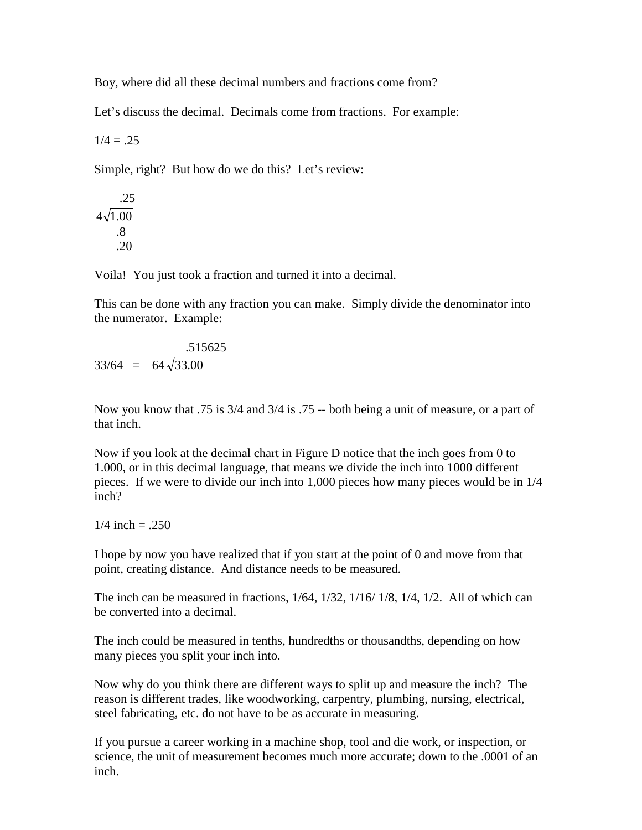Boy, where did all these decimal numbers and fractions come from?

Let's discuss the decimal. Decimals come from fractions. For example:

 $1/4 = .25$ 

Simple, right? But how do we do this? Let's review:

$$
\begin{array}{r} .25 \\ 4\sqrt{1.00} \\ .8 \\ .20 \end{array}
$$

Voila! You just took a fraction and turned it into a decimal.

This can be done with any fraction you can make. Simply divide the denominator into the numerator. Example:

$$
.515625
$$
  
33/64 = 64 $\sqrt{33.00}$ 

Now you know that .75 is 3/4 and 3/4 is .75 -- both being a unit of measure, or a part of that inch.

Now if you look at the decimal chart in Figure D notice that the inch goes from 0 to 1.000, or in this decimal language, that means we divide the inch into 1000 different pieces. If we were to divide our inch into 1,000 pieces how many pieces would be in 1/4 inch?

 $1/4$  inch = .250

I hope by now you have realized that if you start at the point of 0 and move from that point, creating distance. And distance needs to be measured.

The inch can be measured in fractions, 1/64, 1/32, 1/16/ 1/8, 1/4, 1/2. All of which can be converted into a decimal.

The inch could be measured in tenths, hundredths or thousandths, depending on how many pieces you split your inch into.

Now why do you think there are different ways to split up and measure the inch? The reason is different trades, like woodworking, carpentry, plumbing, nursing, electrical, steel fabricating, etc. do not have to be as accurate in measuring.

If you pursue a career working in a machine shop, tool and die work, or inspection, or science, the unit of measurement becomes much more accurate; down to the .0001 of an inch.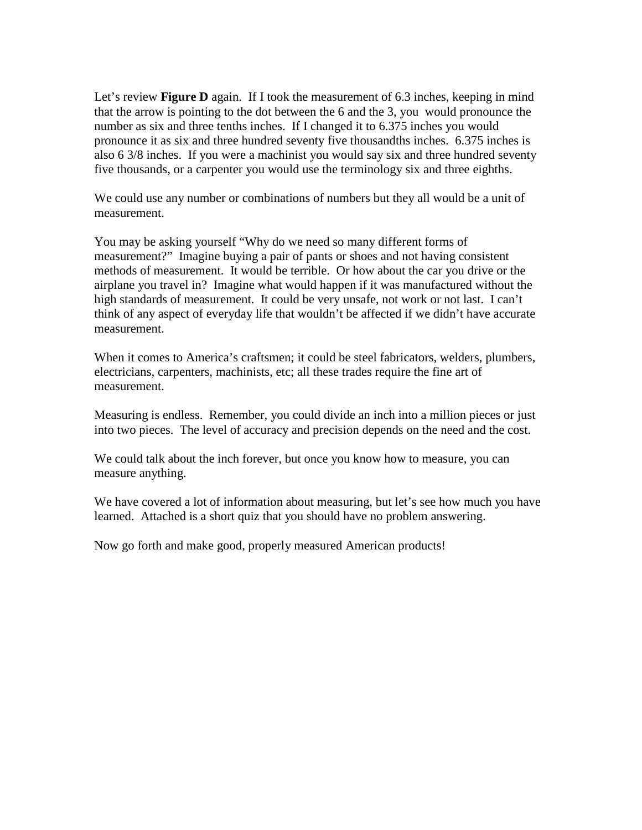Let's review **Figure D** again. If I took the measurement of 6.3 inches, keeping in mind that the arrow is pointing to the dot between the 6 and the 3, you would pronounce the number as six and three tenths inches. If I changed it to 6.375 inches you would pronounce it as six and three hundred seventy five thousandths inches. 6.375 inches is also 6 3/8 inches. If you were a machinist you would say six and three hundred seventy five thousands, or a carpenter you would use the terminology six and three eighths.

We could use any number or combinations of numbers but they all would be a unit of measurement.

You may be asking yourself "Why do we need so many different forms of measurement?" Imagine buying a pair of pants or shoes and not having consistent methods of measurement. It would be terrible. Or how about the car you drive or the airplane you travel in? Imagine what would happen if it was manufactured without the high standards of measurement. It could be very unsafe, not work or not last. I can't think of any aspect of everyday life that wouldn't be affected if we didn't have accurate measurement.

When it comes to America's craftsmen; it could be steel fabricators, welders, plumbers, electricians, carpenters, machinists, etc; all these trades require the fine art of measurement.

Measuring is endless. Remember, you could divide an inch into a million pieces or just into two pieces. The level of accuracy and precision depends on the need and the cost.

We could talk about the inch forever, but once you know how to measure, you can measure anything.

We have covered a lot of information about measuring, but let's see how much you have learned. Attached is a short quiz that you should have no problem answering.

Now go forth and make good, properly measured American products!